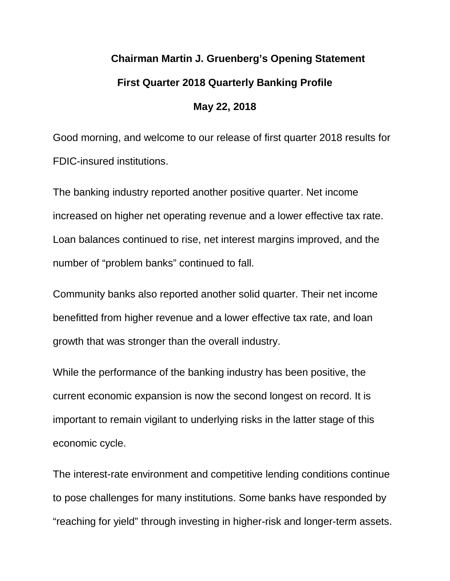# **Chairman Martin J. Gruenberg's Opening Statement First Quarter 2018 Quarterly Banking Profile**

Good morning, and welcome to our release of first quarter 2018 results for FDIC-insured institutions.

**May 22, 2018**

The banking industry reported another positive quarter. Net income increased on higher net operating revenue and a lower effective tax rate. Loan balances continued to rise, net interest margins improved, and the number of "problem banks" continued to fall.

Community banks also reported another solid quarter. Their net income benefitted from higher revenue and a lower effective tax rate, and loan growth that was stronger than the overall industry.

While the performance of the banking industry has been positive, the current economic expansion is now the second longest on record. It is important to remain vigilant to underlying risks in the latter stage of this economic cycle.

The interest-rate environment and competitive lending conditions continue to pose challenges for many institutions. Some banks have responded by "reaching for yield" through investing in higher-risk and longer-term assets.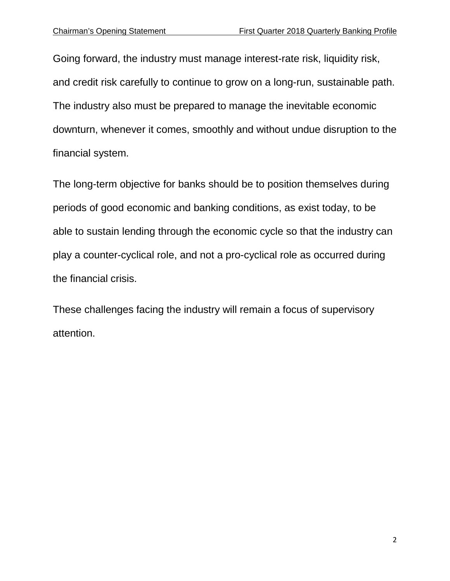Going forward, the industry must manage interest-rate risk, liquidity risk, and credit risk carefully to continue to grow on a long-run, sustainable path. The industry also must be prepared to manage the inevitable economic downturn, whenever it comes, smoothly and without undue disruption to the financial system.

The long-term objective for banks should be to position themselves during periods of good economic and banking conditions, as exist today, to be able to sustain lending through the economic cycle so that the industry can play a counter-cyclical role, and not a pro-cyclical role as occurred during the financial crisis.

These challenges facing the industry will remain a focus of supervisory attention.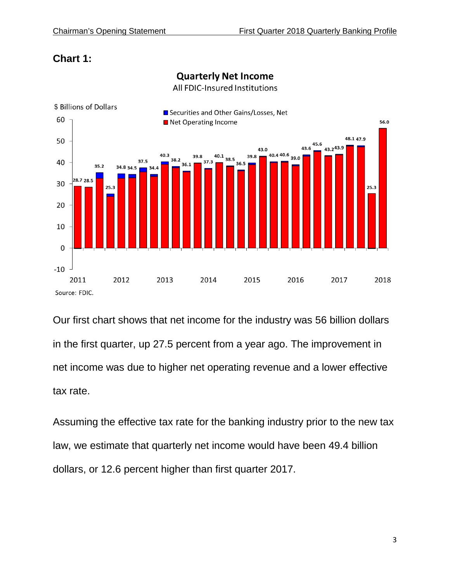# **Chart 1:**



**Quarterly Net Income** 

All FDIC-Insured Institutions

Our first chart shows that net income for the industry was 56 billion dollars in the first quarter, up 27.5 percent from a year ago. The improvement in net income was due to higher net operating revenue and a lower effective tax rate.

Assuming the effective tax rate for the banking industry prior to the new tax law, we estimate that quarterly net income would have been 49.4 billion dollars, or 12.6 percent higher than first quarter 2017.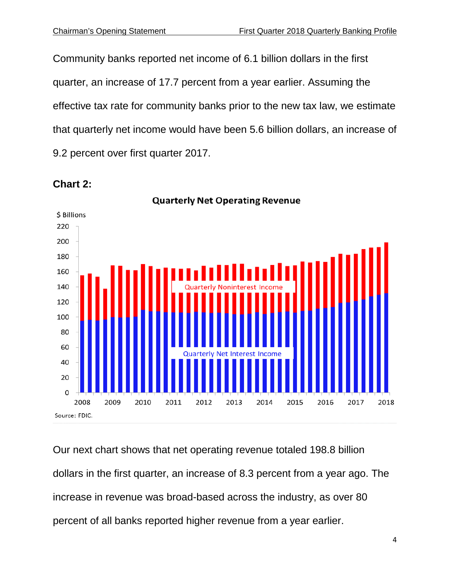Community banks reported net income of 6.1 billion dollars in the first quarter, an increase of 17.7 percent from a year earlier. Assuming the effective tax rate for community banks prior to the new tax law, we estimate that quarterly net income would have been 5.6 billion dollars, an increase of 9.2 percent over first quarter 2017.



#### **Chart 2:**

Our next chart shows that net operating revenue totaled 198.8 billion dollars in the first quarter, an increase of 8.3 percent from a year ago. The increase in revenue was broad-based across the industry, as over 80 percent of all banks reported higher revenue from a year earlier.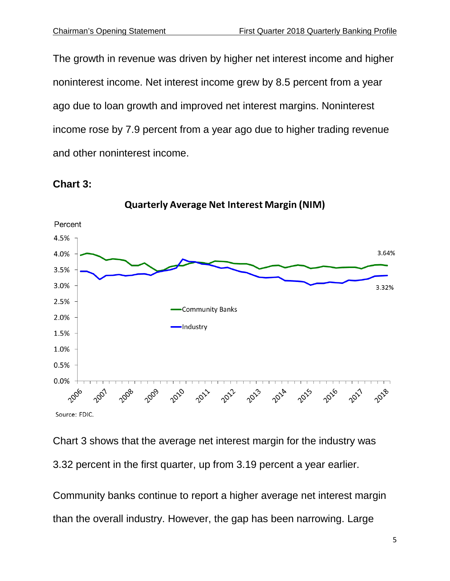The growth in revenue was driven by higher net interest income and higher noninterest income. Net interest income grew by 8.5 percent from a year ago due to loan growth and improved net interest margins. Noninterest income rose by 7.9 percent from a year ago due to higher trading revenue and other noninterest income.





**Quarterly Average Net Interest Margin (NIM)** 

Chart 3 shows that the average net interest margin for the industry was 3.32 percent in the first quarter, up from 3.19 percent a year earlier.

Community banks continue to report a higher average net interest margin than the overall industry. However, the gap has been narrowing. Large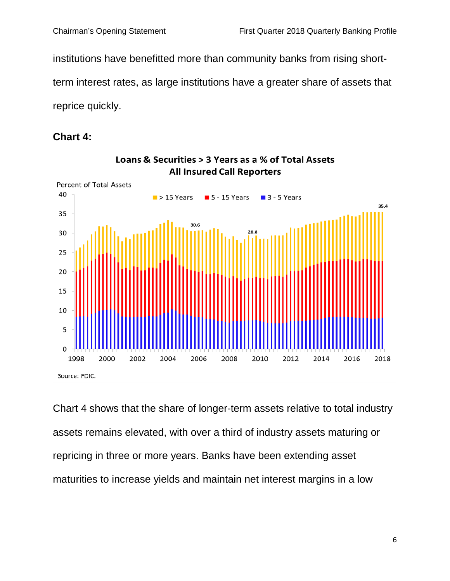institutions have benefitted more than community banks from rising short-

term interest rates, as large institutions have a greater share of assets that

reprice quickly.

### **Chart 4:**



Loans & Securities > 3 Years as a % of Total Assets **All Insured Call Reporters** 

Chart 4 shows that the share of longer-term assets relative to total industry assets remains elevated, with over a third of industry assets maturing or repricing in three or more years. Banks have been extending asset maturities to increase yields and maintain net interest margins in a low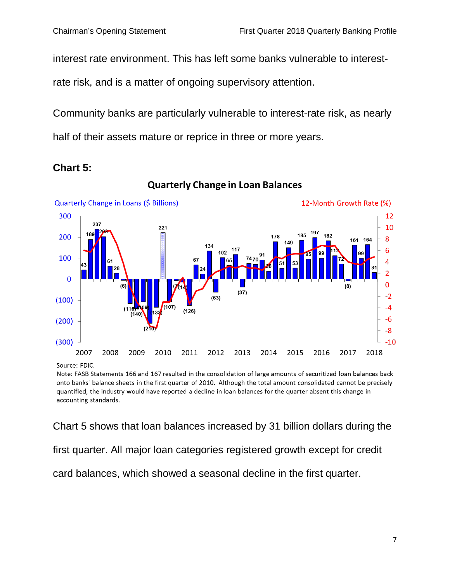interest rate environment. This has left some banks vulnerable to interest-

rate risk, and is a matter of ongoing supervisory attention.

Community banks are particularly vulnerable to interest-rate risk, as nearly half of their assets mature or reprice in three or more years.



#### **Chart 5:**

**Quarterly Change in Loan Balances** 

Source: FDIC.

Note: FASB Statements 166 and 167 resulted in the consolidation of large amounts of securitized loan balances back onto banks' balance sheets in the first quarter of 2010. Although the total amount consolidated cannot be precisely quantified, the industry would have reported a decline in loan balances for the quarter absent this change in accounting standards.

Chart 5 shows that loan balances increased by 31 billion dollars during the first quarter. All major loan categories registered growth except for credit card balances, which showed a seasonal decline in the first quarter.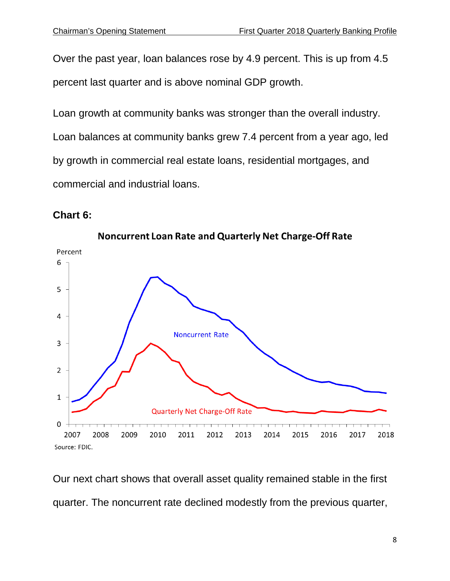Over the past year, loan balances rose by 4.9 percent. This is up from 4.5 percent last quarter and is above nominal GDP growth.

Loan growth at community banks was stronger than the overall industry. Loan balances at community banks grew 7.4 percent from a year ago, led by growth in commercial real estate loans, residential mortgages, and commercial and industrial loans.

## **Chart 6:**



Our next chart shows that overall asset quality remained stable in the first quarter. The noncurrent rate declined modestly from the previous quarter,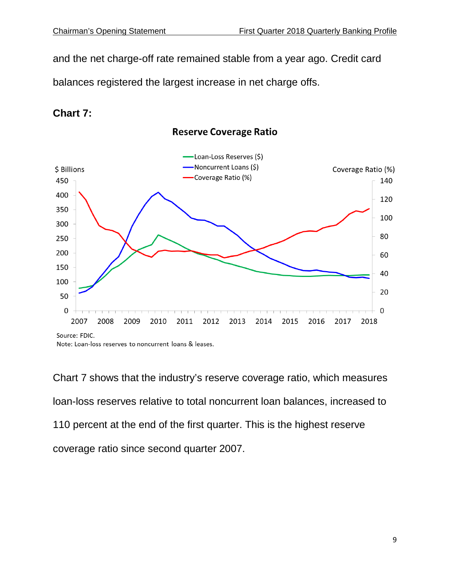and the net charge-off rate remained stable from a year ago. Credit card balances registered the largest increase in net charge offs.

## **Chart 7:**



**Reserve Coverage Ratio** 

Chart 7 shows that the industry's reserve coverage ratio, which measures loan-loss reserves relative to total noncurrent loan balances, increased to 110 percent at the end of the first quarter. This is the highest reserve coverage ratio since second quarter 2007.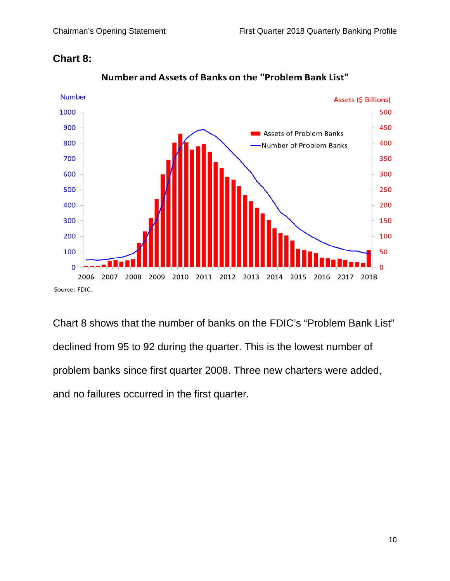

#### **Chart 8:**

Chart 8 shows that the number of banks on the FDIC's "Problem Bank List" declined from 95 to 92 during the quarter. This is the lowest number of problem banks since first quarter 2008. Three new charters were added, and no failures occurred in the first quarter.

Number and Assets of Banks on the "Problem Bank List"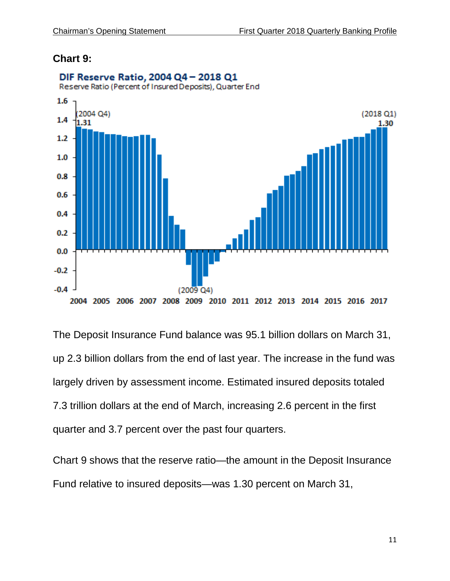#### **Chart 9:**



DIF Reserve Ratio, 2004 Q4 - 2018 Q1

The Deposit Insurance Fund balance was 95.1 billion dollars on March 31, up 2.3 billion dollars from the end of last year. The increase in the fund was largely driven by assessment income. Estimated insured deposits totaled 7.3 trillion dollars at the end of March, increasing 2.6 percent in the first quarter and 3.7 percent over the past four quarters.

Chart 9 shows that the reserve ratio—the amount in the Deposit Insurance Fund relative to insured deposits—was 1.30 percent on March 31,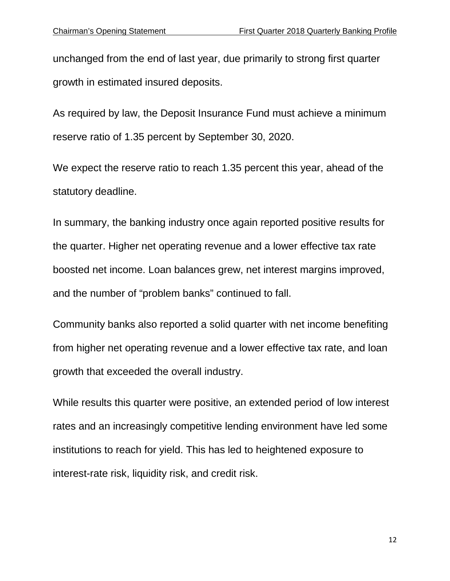unchanged from the end of last year, due primarily to strong first quarter growth in estimated insured deposits.

As required by law, the Deposit Insurance Fund must achieve a minimum reserve ratio of 1.35 percent by September 30, 2020.

We expect the reserve ratio to reach 1.35 percent this year, ahead of the statutory deadline.

In summary, the banking industry once again reported positive results for the quarter. Higher net operating revenue and a lower effective tax rate boosted net income. Loan balances grew, net interest margins improved, and the number of "problem banks" continued to fall.

Community banks also reported a solid quarter with net income benefiting from higher net operating revenue and a lower effective tax rate, and loan growth that exceeded the overall industry.

While results this quarter were positive, an extended period of low interest rates and an increasingly competitive lending environment have led some institutions to reach for yield. This has led to heightened exposure to interest-rate risk, liquidity risk, and credit risk.